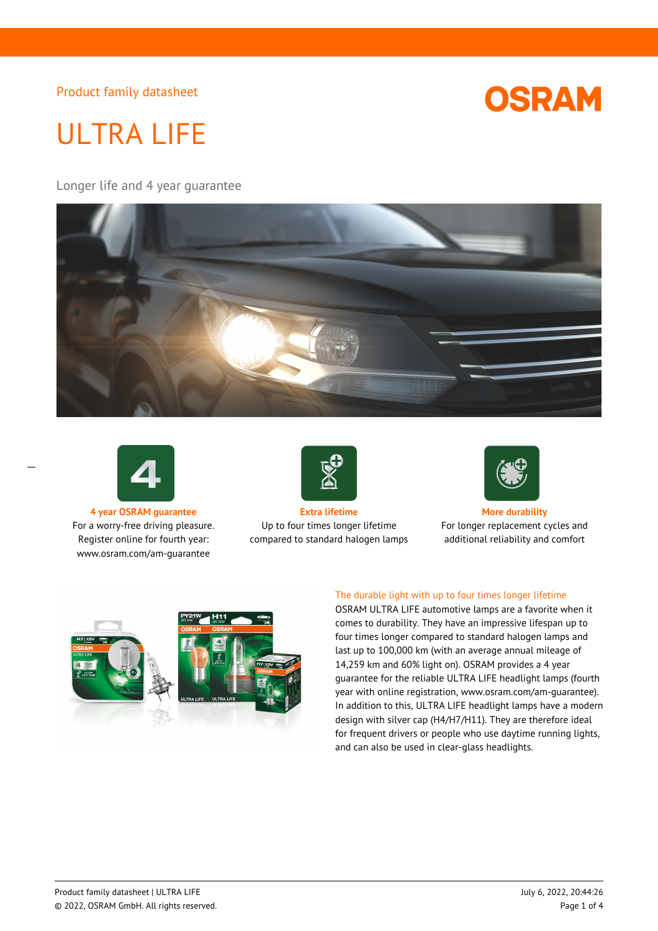

# ULTRA LIFE

Longer life and 4 year guarantee





 $\overline{a}$ 

For a worry-free driving pleasure. Register online for fourth year: www.osram.com/am-guarantee



**4 year OSRAM guarantee Extra lifetime More durability** Up to four times longer lifetime compared to standard halogen lamps



For longer replacement cycles and additional reliability and comfort



## The durable light with up to four times longer lifetime

OSRAM ULTRA LIFE automotive lamps are a favorite when it comes to durability. They have an impressive lifespan up to four times longer compared to standard halogen lamps and last up to 100,000 km (with an average annual mileage of 14,259 km and 60% light on). OSRAM provides a 4 year guarantee for the reliable ULTRA LIFE headlight lamps (fourth year with online registration, www.osram.com/am-guarantee). In addition to this, ULTRA LIFE headlight lamps have a modern design with silver cap (H4/H7/H11). They are therefore ideal for frequent drivers or people who use daytime running lights, and can also be used in clear-glass headlights.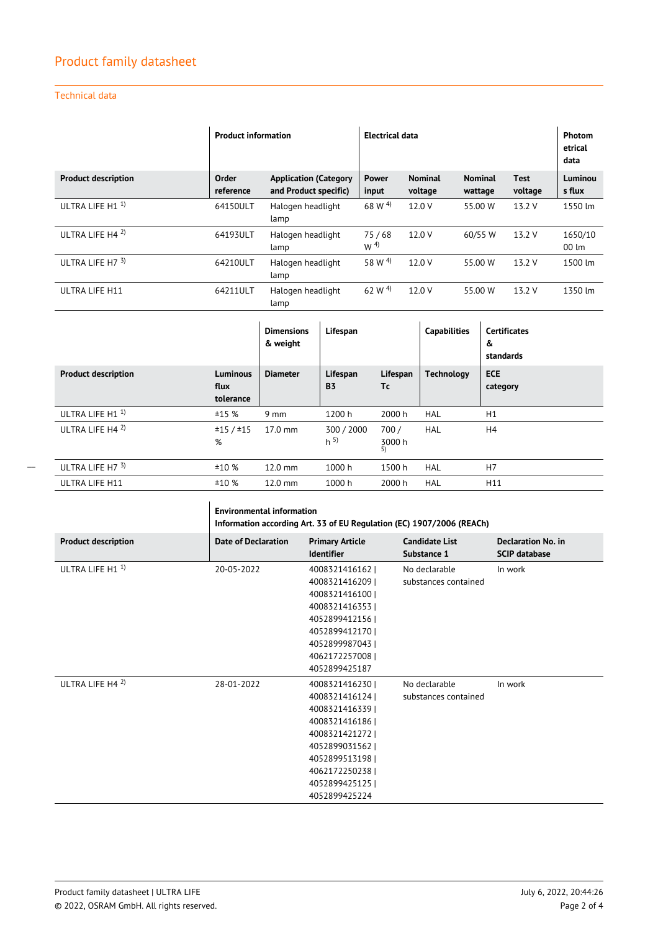## Technical data

|                            | <b>Product information</b> |                                                       | <b>Electrical data</b>  |                           |                           |                        | <b>Photom</b><br>etrical<br>data |
|----------------------------|----------------------------|-------------------------------------------------------|-------------------------|---------------------------|---------------------------|------------------------|----------------------------------|
| <b>Product description</b> | Order<br>reference         | <b>Application (Category</b><br>and Product specific) | <b>Power</b><br>input   | <b>Nominal</b><br>voltage | <b>Nominal</b><br>wattage | <b>Test</b><br>voltage | Luminou<br>s flux                |
| ULTRA LIFE H1 <sup>1</sup> | 64150ULT                   | Halogen headlight<br>lamp                             | 68 W <sup>4</sup>       | 12.0 V                    | 55.00 W                   | 13.2 V                 | 1550 lm                          |
| ULTRA LIFE H4 2)           | 64193ULT                   | Halogen headlight<br>lamp                             | 75/68<br>W <sup>4</sup> | 12.0 V                    | 60/55 W                   | 13.2 V                 | 1650/10<br>$00 \, \text{Im}$     |
| ULTRA LIFE H7 $3$ )        | 64210ULT                   | Halogen headlight<br>lamp                             | 58 W $^{4)}$            | 12.0 V                    | 55.00 W                   | 13.2 V                 | 1500 lm                          |
| ULTRA LIFE H11             | 64211ULT                   | Halogen headlight<br>lamp                             | 62 W $^{4)}$            | 12.0 V                    | 55.00 W                   | 13.2 V                 | 1350 lm                          |

|                             |                               | <b>Dimensions</b><br>& weight | Lifespan                     |                      | <b>Capabilities</b> | <b>Certificates</b><br>&<br>standards |
|-----------------------------|-------------------------------|-------------------------------|------------------------------|----------------------|---------------------|---------------------------------------|
| <b>Product description</b>  | Luminous<br>flux<br>tolerance | <b>Diameter</b>               | Lifespan<br><b>B3</b>        | Lifespan<br>Tc       | <b>Technology</b>   | <b>ECE</b><br>category                |
| ULTRA LIFE H1 <sup>1)</sup> | ±15%                          | $9 \text{ mm}$                | 1200 h                       | 2000 h               | <b>HAL</b>          | H1                                    |
| ULTRA LIFE H4 $^{2}$ )      | ±15/±15<br>%                  | $17.0$ mm                     | 300 / 2000<br>h <sup>5</sup> | 700/<br>3000 h<br>5) | HAL                 | H4                                    |
| ULTRA LIFE H7 3)            | ±10%                          | $12.0$ mm                     | 1000 h                       | 1500h                | <b>HAL</b>          | H7                                    |
| ULTRA LIFE H11              | ±10%                          | $12.0$ mm                     | 1000 h                       | 2000 h               | <b>HAL</b>          | H11                                   |

|                            | <b>Environmental information</b><br>Information according Art. 33 of EU Regulation (EC) 1907/2006 (REACh) |                                                                                                                                                                                    |                                       |                                                   |  |
|----------------------------|-----------------------------------------------------------------------------------------------------------|------------------------------------------------------------------------------------------------------------------------------------------------------------------------------------|---------------------------------------|---------------------------------------------------|--|
| <b>Product description</b> | <b>Date of Declaration</b>                                                                                | <b>Primary Article</b><br><b>Identifier</b>                                                                                                                                        | <b>Candidate List</b><br>Substance 1  | <b>Declaration No. in</b><br><b>SCIP database</b> |  |
| ULTRA LIFE H1 <sup>1</sup> | 20-05-2022                                                                                                | 4008321416162  <br>4008321416209  <br>4008321416100  <br>4008321416353  <br>4052899412156  <br>4052899412170  <br>4052899987043  <br>4062172257008  <br>4052899425187              | No declarable<br>substances contained | In work                                           |  |
| ULTRA LIFE H4 $^{2}$ )     | 28-01-2022                                                                                                | 4008321416230<br>4008321416124<br>4008321416339  <br>40083214161861<br>4008321421272  <br>40528990315621<br>4052899513198  <br>4062172250238  <br>4052899425125  <br>4052899425224 | No declarable<br>substances contained | In work                                           |  |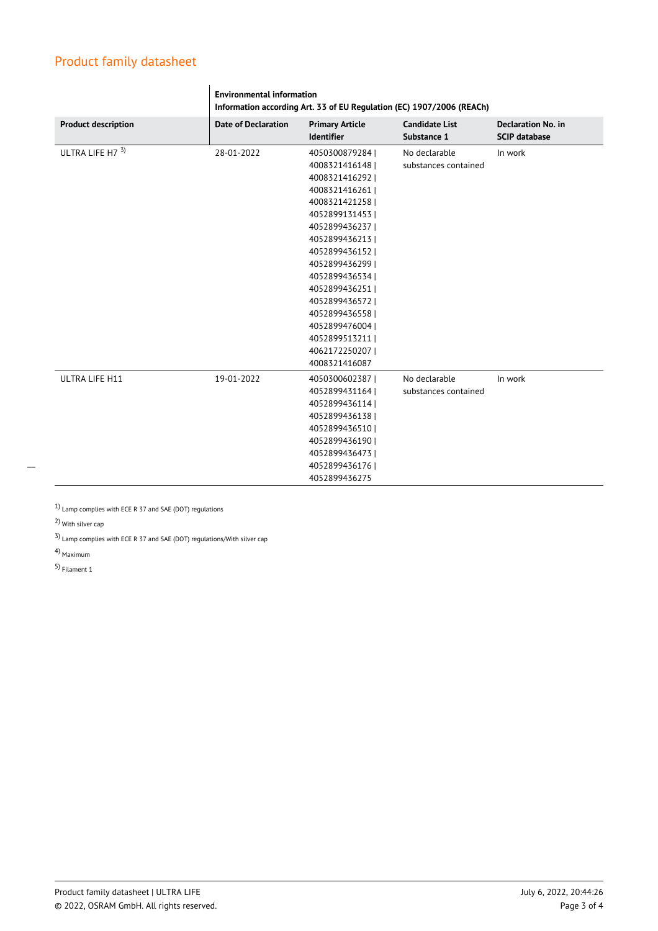|                            | <b>Environmental information</b><br>Information according Art. 33 of EU Regulation (EC) 1907/2006 (REACh) |                                             |                                      |                                                   |  |
|----------------------------|-----------------------------------------------------------------------------------------------------------|---------------------------------------------|--------------------------------------|---------------------------------------------------|--|
| <b>Product description</b> | <b>Date of Declaration</b>                                                                                | <b>Primary Article</b><br><b>Identifier</b> | <b>Candidate List</b><br>Substance 1 | <b>Declaration No. in</b><br><b>SCIP database</b> |  |
| ULTRA LIFE H7 3)           | 28-01-2022                                                                                                | 4050300879284                               | No declarable                        | In work                                           |  |
|                            |                                                                                                           | 4008321416148                               | substances contained                 |                                                   |  |
|                            |                                                                                                           | 4008321416292                               |                                      |                                                   |  |
|                            |                                                                                                           | 4008321416261                               |                                      |                                                   |  |
|                            |                                                                                                           | 4008321421258                               |                                      |                                                   |  |
|                            |                                                                                                           | 40528991314531                              |                                      |                                                   |  |
|                            |                                                                                                           | 4052899436237                               |                                      |                                                   |  |
|                            |                                                                                                           | 4052899436213                               |                                      |                                                   |  |
|                            |                                                                                                           | 4052899436152                               |                                      |                                                   |  |
|                            |                                                                                                           | 4052899436299                               |                                      |                                                   |  |
|                            |                                                                                                           | 4052899436534                               |                                      |                                                   |  |
|                            |                                                                                                           | 40528994362511                              |                                      |                                                   |  |
|                            |                                                                                                           | 4052899436572                               |                                      |                                                   |  |
|                            |                                                                                                           | 4052899436558                               |                                      |                                                   |  |
|                            |                                                                                                           | 4052899476004                               |                                      |                                                   |  |
|                            |                                                                                                           | 4052899513211                               |                                      |                                                   |  |
|                            |                                                                                                           | 4062172250207                               |                                      |                                                   |  |
|                            |                                                                                                           | 4008321416087                               |                                      |                                                   |  |
| ULTRA LIFE H11             | 19-01-2022                                                                                                | 4050300602387                               | No declarable                        | In work                                           |  |
|                            |                                                                                                           | 4052899431164                               | substances contained                 |                                                   |  |
|                            |                                                                                                           | 4052899436114                               |                                      |                                                   |  |
|                            |                                                                                                           | 4052899436138                               |                                      |                                                   |  |
|                            |                                                                                                           | 4052899436510                               |                                      |                                                   |  |
|                            |                                                                                                           | 4052899436190                               |                                      |                                                   |  |
|                            |                                                                                                           | 4052899436473                               |                                      |                                                   |  |
|                            |                                                                                                           | 4052899436176                               |                                      |                                                   |  |
|                            |                                                                                                           | 4052899436275                               |                                      |                                                   |  |

1) Lamp complies with ECE R 37 and SAE (DOT) regulations

2) With silver cap

3) Lamp complies with ECE R 37 and SAE (DOT) regulations/With silver cap

4) Maximum

 $\overline{\phantom{0}}$ 

5) Filament 1